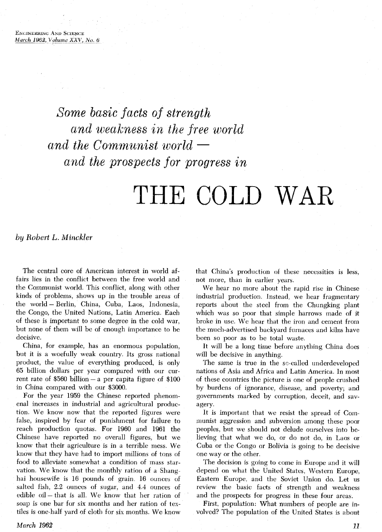Some basic facts of strength and weakness in the free world and the Communist world and the prospects for progress in

# THE COLD WAR

by *Robert L. Minckler* 

The central core of American interest in world affairs lies in the conflict between the free world and the Communist world. This conflict, along with other kinds of problems, shows up in the trouble areas of the world - Berlin, China, Cuba, Laos, Indonesia, the Congo, the United Nations, Latin America. Each of these is important to some degree in the cold war, but none of them will be of enough importance to be decisive.

China, for example, has an enormous population, but it is a woefully weak country. Its gross national product, the value of everything produced, is only 65 billion dollars per year compared with our current rate of  $$560$  billion - a per capita figure of  $$100$ in China compared with our \$3000.

For the year 1959 the Chinese reported phenomenal increases in industrial and agricultural production. We know now that the reported figures were false, inspired by fear of punishment for failure to reach production quotas. For 1960 and 1961 the Chinese have reported no overall figures, but we know that their agriculture is in a terrible mess. We know that they have had to import millions of tons of food to alleviate somewhat a condition of mass starvation. We know that the monthly ration of a Shang hai housewife is 16 pounds of grain, 16 ounces of salted fish, 2.2 ounces of sugar, and 4.4 ounces of edible oil - that is all. We know that her ration of soap is one bar for six months and her ration of textiles is one-half yard of cloth for six months. We know

that China's production of these necessities is less, not more, than in earlier years.

We hear no more about the rapid rise in Chinese industrial production. Instead, we hear fragmentary reports about the steel from the Chungking plant which was so poor that simple harrows made of it broke in use. We hear that the iron and cement from the much-advertised backyard furnaces and kilns have been so poor as to be total waste.

It will be a long time before anything China does will be decisive in anything.

The same is true in the so-called underdeveloped nations of Asia and Africa and Latin America. In most of these countries the picture is one of people crushed by burdens of ignorance, disease, and poverty; and governments marked by corruption, deceit, and savagery.

It is important that we resist the spread of Communist aggression and subversion among these poor peoples, but we should not delude ourselves into believing that what we do, or do not do, in Laos or Cuba or the Congo or Bolivia is going to be decisive one way or the other.

The decision is going to come in Europe and it will depend on what the United States, Western Europe, Eastern Europe, and the Soviet Union do. Let us review the basic facts of strength and weakness and the prospects for progress in these four areas.

First, population: What numbers of people are involved? The population of the United States is about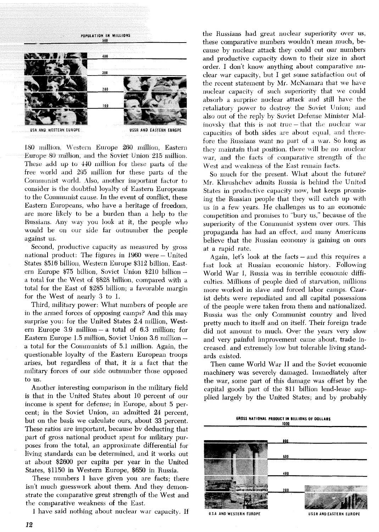

180 million, Western Europe 260 million, Eastern Europe 80 million, and the Soviet Union 215 million. These add up to 440 million for these parts of the free world and 295 million for these parts of the Communist world. Also, another important factor to consider is the doubtful loyalty of Eastern Europeans to the Communist cause. In the event of conflict, these Eastern Europeans, who have a heritage of freedom, are more likely to be a burden than a help to the Russians. Any way you look at it, the people who would be on our side far outnumber the people against us.

Second, productive capacity as measured by gross national product: The figures in 1960 were – United States \$516 billion, Western Europe \$312 billion, Eastern Europe \$75 billion, Soviet Union \$210 billion a total for the West of \$828 billion, compared with a total for the East of \$285 billion; a favorable margin for the West of nearly 3 to 1.

Third, military power: What numbers of people are in the armed forces of opposing camps? And this may surprise you: for the United States 2.4 million, Western Europe 3.9 million - a total of  $6.3$  million; for Eastern Europe 1.5 million, Soviet Union 3.6 million a total for the Communists of 5.1 million. Again, the questionable loyalty of the Eastern European troops arises, but regardless of that, it is a fact that the military forces of our side outnumber those opposed to us.

Another interesting comparison in the military field is that in the United States about 10 percent of our income is spent for defense; in Europe, about 5 percent; in the Soviet Union, an admitted 24 percent, but on the basis we calculate ours, about 33 percent. These ratios are important, because by deducting that part of gross national product spent for military purposes from the total, an approximate differential for living standards can be determined, and it works out at about \$2600 per capita per year in the United States, \$1150 in Western Europe, \$650 in Russia.

These numbers I have given you are facts; there isn't much guesswork about them. And they demonstrate the comparative great strength of the West and the comparative weakness of the East.

I have said nothing about nuclear war capacity. If

the Russians had great nuclear superiority over us, these comparative numbers wouldn't mean much, because by nuclear attack they could cut our numbers and productive capacity down to their size in short order. I don't know anything about comparative nuclear war capacity, but I get some satisfaction out of the recent statement by Mr. McNamara that we have nuclear capacity of such superiority that we could absorb a surprise nuclear attack and still have the retaliatory power to destroy the Soviet Union; and also out of the reply by Soviet Defense Minister Malinovsky that this is not true – that the nuclear war capacities of both sides are about equal, and therefore the Russians want no part of a war. So long as they maintain that position, there will be no nuclear war, and the facts of comparative strength of the West and weakness of the East remain facts.

So much for the present. What about the future? Mr. Klırushchev admits Russia is behind the United States in productive capacity now, but keeps promising the Russian people that they will catch up with us in a few years. He challenges us to an economic competition and promises to "bury us," because of the superiority of the Communist system over ours. This propaganda has had an effect, and many Americans believe that the Russian economy is gaining on ours at a rapid rate.

Again, let's look at the facts – and this requires a fast look at Russian economic history. Following World War I, Russia was in terrible economic difficulties. Millions of people died of starvation, millions more worked in slave and forced labor camps. Czarist debts were repudiated and all capital possessions of the people were taken from them and nationalized. Russia was the only Communist country and lived pretty much to itself and on itself. Their foreign trade did not amount to much. Over the years very slow and very painful improvement came about, trade increased, and extremely low but tolerable living standards existed.

Then came World War II and the Soviet economic machinery was severely damaged. Immediately after the war, some part of this damage was offset by the capital goods part of the \$11 billion lend-lease supplied largely by the United States; and by probably

> GROSS NATIONAL PRODUCT IN BILLIONS OF DOLLARS 1000

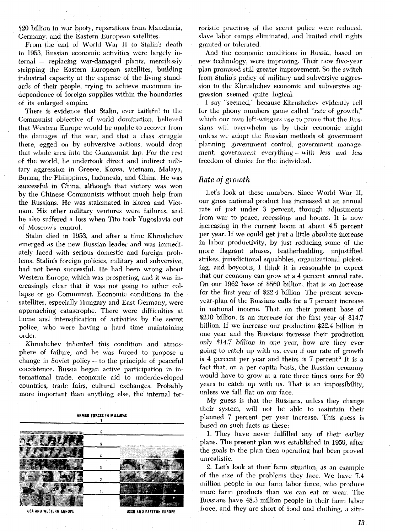\$20 billion in war booty, reparations from Manchuria, Germany, and the Eastern European satellites.

From the end of World War II to Stalin's death in 1953, Russian economic activities were largely internal - replacing war-damaged plants, mercilessly stripping the Eastern European satellites, building industrial capacity at the expense of the living standards of their people, trying to achieve maximum independence of foreign supplies within the boundaries of its enlarged empire.

There is evidence that Stalin, ever faithful to the Communist objective of world domination, believed that Western Europe would be unable to recover from the damages of the war, and that a class struggle there, egged on by subversive actions, would drop that whole area into the Communist lap. For the rest of the world, he undertook direct and indirect niilitary aggression in Greece, Korea, Vietnam, Malaya. Burma, the Philippines, Indonesia, and China. He was successful in China, although that victory was won by die Chinese Communists without much help from the Russians. He was stalemated in Korea and Vietnam. His other military ventures were failures, and he also suffered a loss when Tito took Yugoslavia out of Moscow's control.

Stalin died in 1953, and after a time Khrushchev emerged as the new Russian leader and was immediately faced with serious domestic and foreign problems. Stalin's foreign policies, military and subversive, had not been successful. He had been wrong about Western Europe, which was prospering, and it was increasingly clear that it was not going to either collapse or go Communist. Economic conditions in the satellites, especially Hungary and East Germany, were approaching catastrophe. There were difficulties at home and intensification of activities by the secret police, who were having a hard time maintaining order.

Khrushchev inherited this condition and atmosphere of failure, and he was forced to propose a change in Soviet policy - to the principle of peaceful coexistence. Russia began active participation in international trade, economic aid to underdeveloped countries, trade fairs, cultural exchanges. Probably more important than anything else, the internal ter-

#### **ARMED FORCES IN MILLIONS**   $\overline{1}$



roristic practices of the secret police were reduced, slave labor camps eliminated, and limited civil rights granted or tolerated.

And the economic conditions in Mussia, based on new technology, were improving. Their new five-year plan promised still greater improvement. So the switch from Stalin's policy of military and subversive aggression to the Khrushchev economic and subversive aggression seemed quite logical.

I say "seemed," because Khrushchev evidently fell for the phony numbers game called "rate of growth," which our own left-wingers use to prove that the Russians will overwhelm us by their economic might unless we adopt the Russian methods of government planning, government control, government management, government everything - with less and less freedom of choice for the individual.

#### *Rate* of *growth*

Let's look at these numbers. Since World War **11,**  our gross national product has increased at an annual rate of just under **3** percent, through adjustments from war to peace, recessions and booms. It is now increasing in the current boom at about 4.5 percent per year. If we could get just a little absolute increase in labor productivity, by just reducing some of the more flagrant abuses, featherbedding, unjustified strikes, jurisdictional squabbles, organizational picketing, and boycotts, I think it is reasonable to expect that our economy can grow at a 4 percent annual rate. On our 1962 base of \$560 billion, that is an increase for the first year of \$22.4 billion. The present sevenyear-plan of the Russians calls for a 7 percent increase in national income. That, on their present base of \$210 billion, is an increase for the first year of \$14.7 billion. If we increase our production \$22.4 billion in one year and the Russians increase their production only \$14.7 billion in one year, how are they ever going to catch up with us, even if our rate of growth is 4 percent per year and theirs is 7 percent? It is a fact that, on a per capita basis, the Russian economy would have to grow at a rate three times ours for 20 years to catch up with us. That is an impossibility, unless we fall flat on our face.

My guess is that the Russians, unless they change their system, will not be able to maintain their planned **7** percent per year increase. This guess is based on such facts **as** these:

1. They have never fulfilled any of their earlier plans. The present plan was established in 1959, after the goals in the plan then operating had been proved unrealistic.

2. Let's look at their farm situation, as an example of the size of the problems they face. We have 7.4 million people in our farm labor force, who produce more farm products than we can eat or wear. The Russians have 48.3 million people in their farm labor force, and they are short of food and clothing, a situ-

13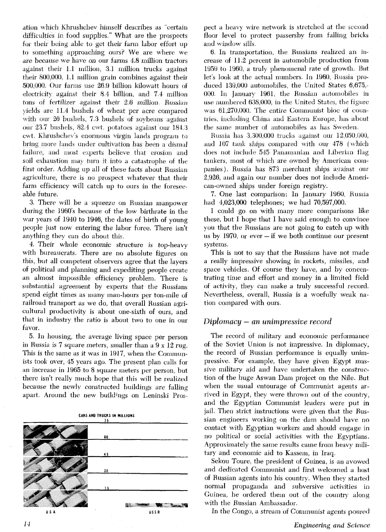ation which Khrushchev himself describes as "certain difficulties in food supplies." What are the prospects for their being able *to* get their farm labor effort up to something approaching ours? We are where we are because we have on our farms 4.8 million tractors against their 1.1 million, 3.1 million trucks against their 800,000, 1.1 million grain combines against their 500,000. Our farms use 26.9 billion kilowatt hours of electricity against their 8.4 billion, and 7.4 million  $t$ ons of fertilizer against their 2.6 million. Russian yields are 11.4 bushels of wheat per acre compared with our 26 bushels, 7.3 bushels of soybeans against our 23 7 bushels, 82.4 cvit. potatoes against our 181.3 ewt. Khrushchev's enormous virgin lands program to bring more lands under cultivation has been a dismal failure, and most experts believe that erosion and soil exhaustion may turn it into a catastrophe of the first order. Adding up all of these facts about Russian agriculture, there is no prospect whatever that their farm efficiency will catch up to ours in the foreseeable future.

**3.** There will be a squeeze on Russian manpower during the 1960's because of the low birthrate in the war years of 1940 to 1946, the dates of birth of young people just now entering the labor force. There isn't anything they can do about this.

4. Their whole economic structure is top-heavy with bureaucrats. There are no absolute figures on this, but all competent observers agree that the layers of political and planning and expediting people create an almost impossible efficiency problem. There is substantial agreement by experts that the Russians spend eight times as many man-hours per ton-mile of railroad transport as we do, that overall Russian agricultural productivity is about one-sixth of ours, and that in industry the ratio is about two to one in our favor.

5. In housing, the average living space per person in Russia is 7 square meters, smaller than a  $9 \times 12$  rug. This is the same as it was in 1917, when the Communists took over, 45 years ago. The present plan calls for an increase in 1965 to 8 square meters per person, but there isn't really much hope that this will be realized because the newly constructed buildings are falling apart. Around the new buildings on Leninski Pros-



pect a heavy wire network is stretched at the second floor level to protect passersby from falling bricks and window sills.

6. In transportation, the Russians realized an increase of 11.2 percent in automobile production from 1959 to 1960, a truly phenomenal rate of growth. But let's look at the actual numbers. In 1960, Russia produced 139,000 automobiles, the United States 6,675.- 000. In January 1961, the Russian automobiles in use numbered 638,000; in the United States, the figure was  $61,270,000$ . The entire Communist bloc of countries, including China and Eastern Europe, has about the same number of automobiles as has Sweden.

Russia has 3,300,000 trucks against our 12,050,000, and  $107$  tank ships compared with our  $478$  (which does not include 545 Panamanian and Liberian flag tankers, most of which are owned by American companies). Russia has 873 merchant ships against our 2,926, and again our number does not include American-owned ships under foreign registry.

**7.** One last comparison: In January 1960, Russia had 4,023,000 telephones; we had 70,597,000.

I could go on with many more comparisons like these, but I hope that 1 have said enough to convince jou that the Russians are not going to catch up with us by 1970, or ever - if we both continue our present systems.

This is not to say that the Russians have not made a really impressive showing in rockets, missiles, and space vehicles. Of course they have, and by concentrating time and effort and money in a limited field of activity, they can make a truly successful record. Nevertheless, overall, Russia is a woefully weak nation compared with ours.

# *Diplomacy* - an *unimpressive record*

The record of military and economic performance of the Soviet Union is not impressive. In diplomacy, the record of Russian performance is equally unimpressive. For example, they have given Egypt massive military aid and have undertaken the construction of the huge Aswan Dam project on the Nile. But when the usual entourage of Communist agents arrived in Egypt, they were thrown out of the country, and the Egyptian Communist leaders were put in jail. Then strict instructions were given that the Russian engineers working on the dam should have no contact with Egyptian workers and should engage in no political or social activities with the Egyptians. Approximately the same results came from heavy military and economic aid to Kassem, in Iraq.

Sekou Toure, the president of Guinea, is an avowed and dedicated Communist and first welcomed a host of Russian agents into his country. When they started normal propaganda and subversive activities in Guinea, he ordered them out of the country along with the Russian Ambassador.

In the Congo, a stream of Communist agents poured

14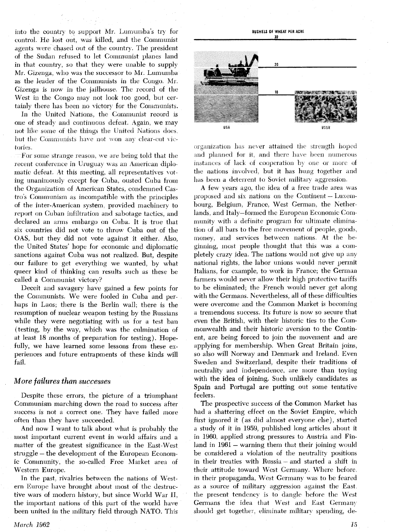into the country to support Mr. Lumumba's try for control. He lost out, was killed, and the Communist agents were chased out of the country. The president of the Sudan refused to let Communist planes land in that country, so that they were unable to supply Mr. Gizenga, who was the successor to Mr. Lumumba as the leader of the Communists in the Congo. Mr. Gizenga is now in the jailhouse. The record of the West in the Congo may not look too good, but certainly there has been no victory for the Communists.

In the United Nations, the Communist record is one of steady and continuous defeat. Again, we may not like some of the things the United Nations does, but the Communists have not won any clear-cut victories.

For some strange reason, we are being told that the recent conference in Uruguay was an American diplomatic defeat. At this meeting, all representatives voting unanimously except for Cuba, ousted Cuba from the Organization of American States, condemned Castro's Communism as incompatible with the principles of the inter-American system. provided machinery to report on Cuban infiltration and sabotage tactics, and declared an arms enlbargo on Cuba. It is true that six countries did not vote to throw Cuba out of the **OAS,** but they did not vote against it either. Also, the United States' hope for economic and diplomatic sanctions against Cuba was not realized. But, despite our failure to get everything we wanted, by what queer kind of thinking can results such as these be called a Communist victory?

Deceit and savagery have gained a few points for the Communists. We were fooled in Cuba and perhaps in Laos; there is the Berlin wall; there is the resumption of nuclear weapon testing by the Russians while they were negotiating with us for a test ban (testing, by the way, which was the culmination of at least 18 months of preparation for testing). Hopefully, we have learned some lessons from these experiences and future entrapments of these kinds will fail.

### *More failures than successes*

Despite these errors, the picture of a triumphant Communism marching down the road to success after success is not a correct one. They have failed more often than they have succeeded.

And now I want to talk about what is probably the most important current event in world affairs and a matter of the greatest significance in the East-West struggle – the development of the European Economic Community, the so-called Free Market area of Western Europe.

In the past, rivalries between the nations of Western Europe have brought about most of the destructive wars of modern history, but since World War 11, the important nations of this part of the world have been united in the military field through NATO. This



organization has never attained the strength hoped and planned for it, and there have been numerous instances of lack of cooperation by one or more of the nations involved, but it has hung together and has been a deterrent to Soviet military aggression.

A few years ago, the idea of a free trade area was proposed and six nations on the Continent - Luxembourg, Belgium, France, West German, the Netherlands, and Italy-formed the European Economic Community with a definite program for ultimate elimination of all bars to the free movement of people, goods. money, and services between nations. At the beginning, most people thought that this was a completely crazy idea. The nations would not give up any national rights, the labor unions would never permit Italians, for example, to work in France; the German farmers would never allow their high protective tariffs to be eliminated; the French would never get along with the Germans. Nevertheless, all of these difficulties were overcome and the Common Market is becoming a tremendous success. Its future is now so secure that even the British, with their historic ties to the Commoriwealth and their historic aversion to the Continent, are being forced to join the movement and are applying for membership. When Great Britain joins, so also will Norway and Denmark and Ireland. Even Sweden and Switzerland, despite their traditions of neutrality and independence, are more than toying with the idea of joining. Such unlikely candidates as Spain and Portugal are putting out some tentative feelers.

The prospective success of the Common Market has had a shattering effect on the Soviet Empire, which first ignored it **(as** did almost everyone else), started a study of it in 1959, published long articles about it in 1960, applied strong pressures to Austria and Finland in 1961 – warning them that their joining would be considered a violation of the neutrality positions in their treaties with Russia – and started a shift in their attitude toward West Germany. Where before in their propaganda, West Germany was to be feared as a source of military aggression against the East the present tendency is to dangle before the West Germans the idea that West and East Germany should get together. eliminate military spending, de